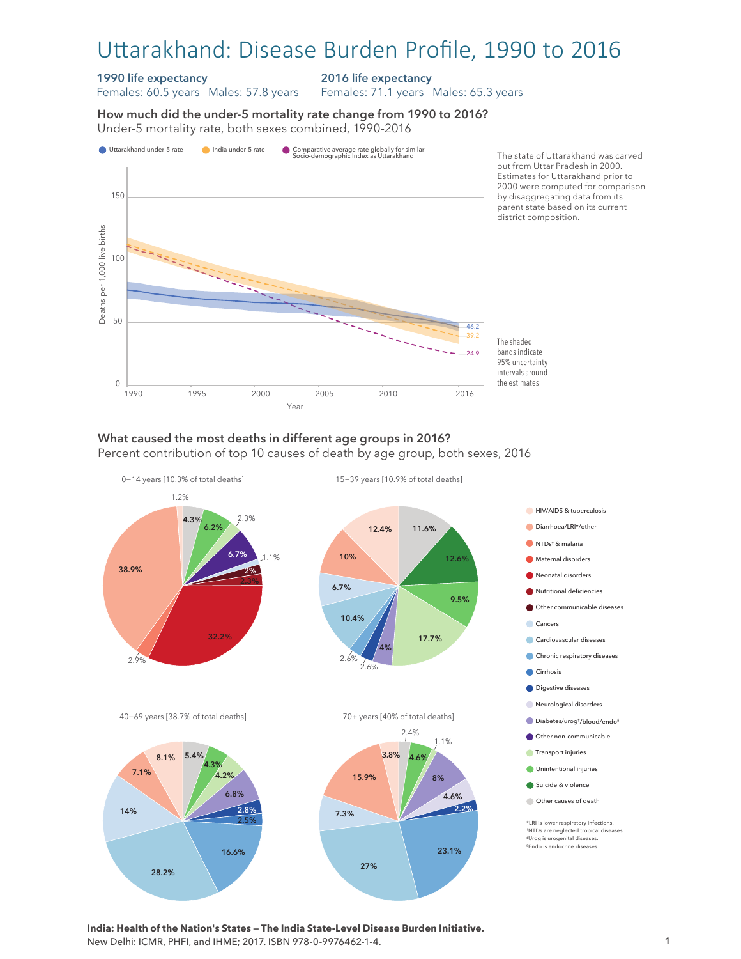# Uttarakhand: Disease Burden Profile, 1990 to 2016

#### 1990 life expectancy

Females: 60.5 years Males: 57.8 years

2016 life expectancy

Females: 71.1 years Males: 65.3 years

How much did the under-5 mortality rate change from 1990 to 2016? Under-5 mortality rate, both sexes combined, 1990-2016 Under-5 mortality rate, both sexes combined, 1990-2016 How much did the under-5 mortality rate change from 1990 to 2016?



# What caused the most deaths in different age groups in 2016?

Percent contribution of top 10 causes of death by age group, both sexes, 2016



**India: Health of the Nation's States — The India State-Level Disease Burden Initiative.**  New Delhi: ICMR, PHFI, and IHME; 2017. ISBN 978-0-9976462-1-4.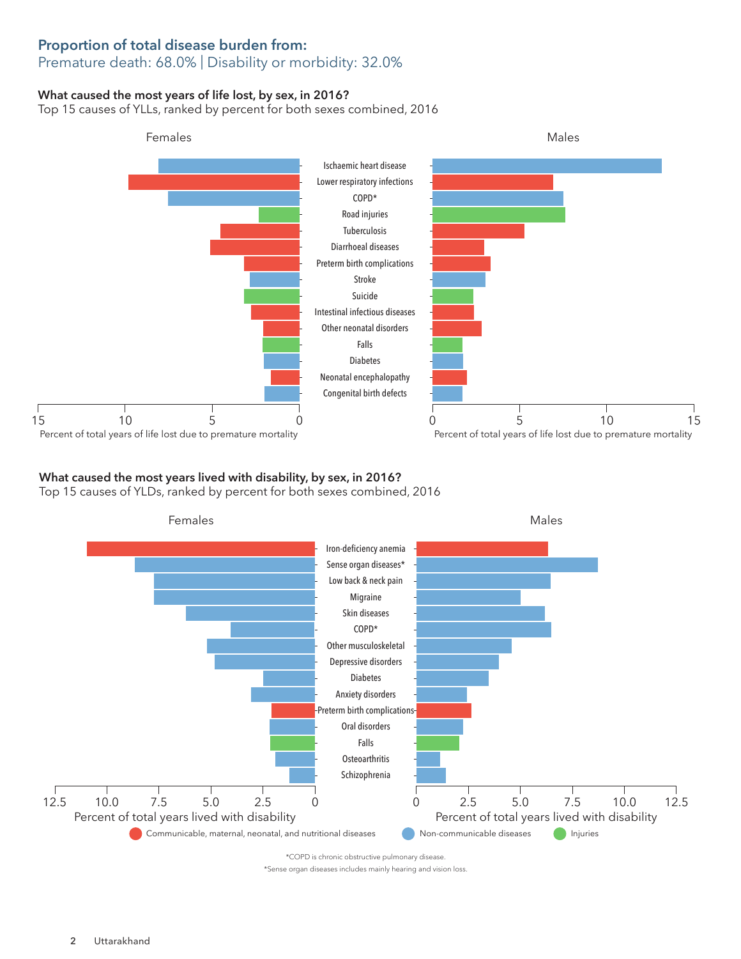### Proportion of total disease burden from: Premature death: 68.0% | Disability or morbidity: 32.0%

### What caused the most years of life lost, by sex, in 2016?

Top 15 causes of YLLs, ranked by percent for both sexes combined, 2016



# What caused the most years lived with disability, by sex, in 2016?

Top 15 causes of YLDs, ranked by percent for both sexes combined, 2016



\*COPD is chronic obstructive pulmonary disease.

\*Sense organ diseases includes mainly hearing and vision loss.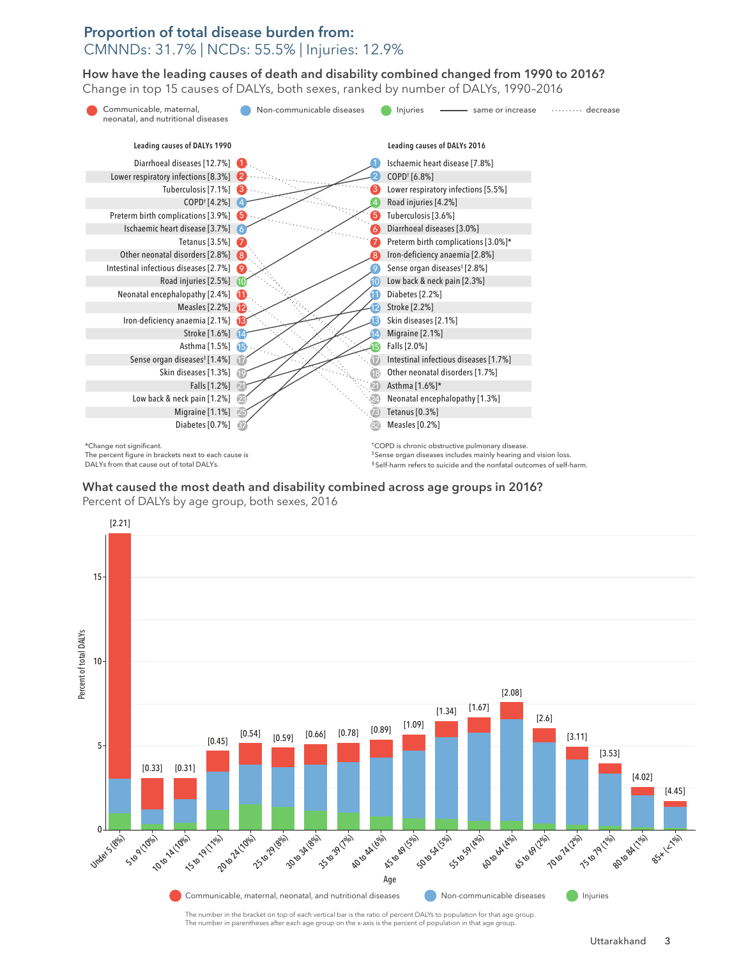## Proportion of total disease burden from: CMNNDs: 31.7% | NCDs: 55.5% | Injuries: 12.9%

How have the leading causes of death and disability combined changed from 1990 to 2016? How have the leading causes of death and disability combined changed from 1990 to 2016? Change in top 15 causes of DALYs, both sexes, ranked by number of DALYs, 1990–2016 Change in top 15 causes of DALYs, both sexes, ranked by number of DALYs, 1990–2016



The percent figure in brackets next to each cause is DALYs from that cause out of total DALYs.

§ Self-harm refers to suicide and the nonfatal outcomes of self-harm.

#### $\mathcal{L}_{\mathcal{A}}$  what caused across age groups in 2016? The most disability combined across age groups in 2016? What caused the most death and disability combined across age groups in 2016? Percent of DALYs by age group, both sexes, 2016



The number in the bracket on top of each vertical bar is the ratio of percent DALYs to population for that age group. The number in parentheses after each age group on the x-axis is the percent of population in that age group.